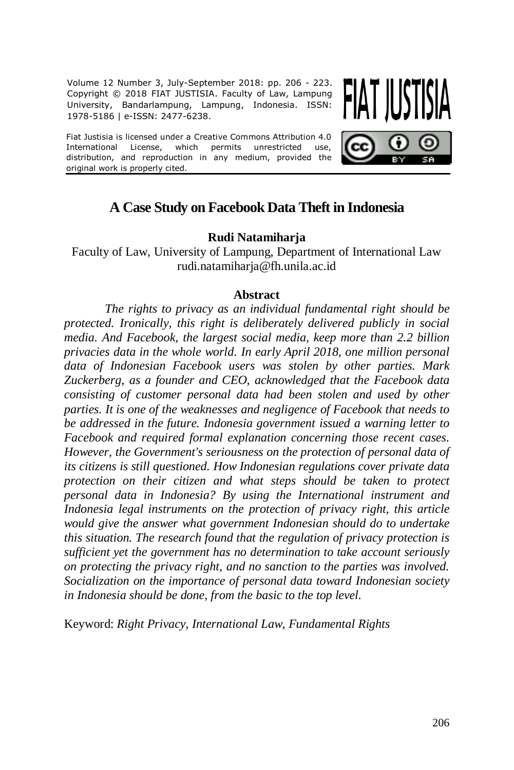Volume 12 Number 3, July-September 2018: pp. 206 - 223. Copyright © 2018 FIAT JUSTISIA. Faculty of Law, Lampung University, Bandarlampung, Lampung, Indonesia. ISSN: 1978-5186 | e-ISSN: 2477-6238.

Fiat Justisia is licensed under a Creative Commons Attribution 4.0 International License, which permits unrestricted use, distribution, and reproduction in any medium, provided the original work is properly cited.



# **A Case Study on Facebook Data Theft in Indonesia**

## **Rudi Natamiharja**

Faculty of Law, University of Lampung, Department of International Law [rudi.natamiharja@fh.unila.ac.id](mailto:rudi.natamiharja@fh.unila.ac.id)

### **Abstract**

*The rights to privacy as an individual fundamental right should be protected. Ironically, this right is deliberately delivered publicly in social media. And Facebook, the largest social media, keep more than 2.2 billion privacies data in the whole world. In early April 2018, one million personal data of Indonesian Facebook users was stolen by other parties. Mark Zuckerberg, as a founder and CEO, acknowledged that the Facebook data consisting of customer personal data had been stolen and used by other parties. It is one of the weaknesses and negligence of Facebook that needs to be addressed in the future. Indonesia government issued a warning letter to Facebook and required formal explanation concerning those recent cases. However, the Government's seriousness on the protection of personal data of its citizens is still questioned. How Indonesian regulations cover private data protection on their citizen and what steps should be taken to protect personal data in Indonesia? By using the International instrument and Indonesia legal instruments on the protection of privacy right, this article would give the answer what government Indonesian should do to undertake this situation. The research found that the regulation of privacy protection is sufficient yet the government has no determination to take account seriously on protecting the privacy right, and no sanction to the parties was involved. Socialization on the importance of personal data toward Indonesian society in Indonesia should be done, from the basic to the top level.*

Keyword: *Right Privacy, International Law, Fundamental Rights*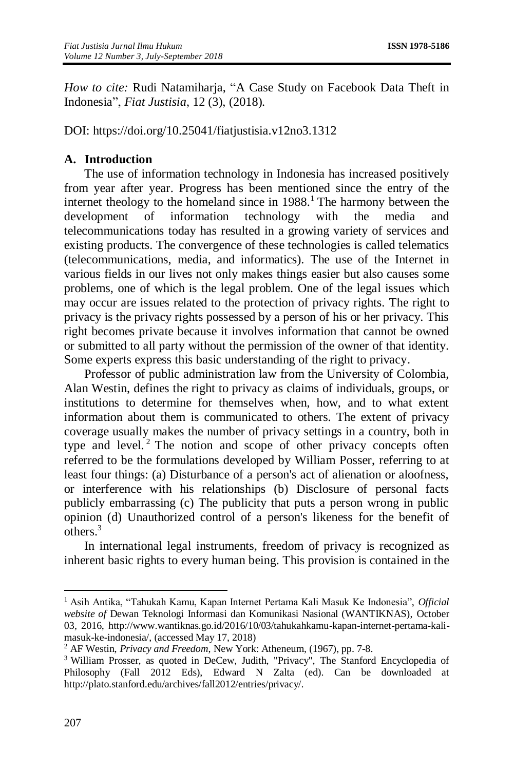*How to cite:* Rudi Natamiharja, "A Case Study on Facebook Data Theft in Indonesia", *Fiat Justisia*, 12 (3), (2018).

DOI: <https://doi.org/10.25041/fiatjustisia.v12no3.1312>

## **A. Introduction**

The use of information technology in Indonesia has increased positively from year after year. Progress has been mentioned since the entry of the internet theology to the homeland since in  $1988<sup>1</sup>$ . The harmony between the development of information technology with the media and telecommunications today has resulted in a growing variety of services and existing products. The convergence of these technologies is called telematics (telecommunications, media, and informatics). The use of the Internet in various fields in our lives not only makes things easier but also causes some problems, one of which is the legal problem. One of the legal issues which may occur are issues related to the protection of privacy rights. The right to privacy is the privacy rights possessed by a person of his or her privacy. This right becomes private because it involves information that cannot be owned or submitted to all party without the permission of the owner of that identity. Some experts express this basic understanding of the right to privacy.

Professor of public administration law from the University of Colombia, Alan Westin, defines the right to privacy as claims of individuals, groups, or institutions to determine for themselves when, how, and to what extent information about them is communicated to others. The extent of privacy coverage usually makes the number of privacy settings in a country, both in type and level.<sup>2</sup> The notion and scope of other privacy concepts often referred to be the formulations developed by William Posser, referring to at least four things: (a) Disturbance of a person's act of alienation or aloofness, or interference with his relationships (b) Disclosure of personal facts publicly embarrassing (c) The publicity that puts a person wrong in public opinion (d) Unauthorized control of a person's likeness for the benefit of others.<sup>3</sup>

In international legal instruments, freedom of privacy is recognized as inherent basic rights to every human being. This provision is contained in the

 $\overline{a}$ <sup>1</sup> Asih Antika, "Tahukah Kamu, Kapan Internet Pertama Kali Masuk Ke Indonesia", *Official website of* Dewan Teknologi Informasi dan Komunikasi Nasional (WANTIKNAS), October 03, 2016, http://www.wantiknas.go.id/2016/10/03/tahukahkamu-kapan-internet-pertama-kalimasuk-ke-indonesia/, (accessed May 17, 2018)

<sup>2</sup> AF Westin, *Privacy and Freedom*, New York: Atheneum, (1967), pp. 7-8.

<sup>&</sup>lt;sup>3</sup> William Prosser, as quoted in DeCew, Judith, "Privacy", The Stanford Encyclopedia of Philosophy (Fall 2012 Eds), Edward N Zalta (ed). Can be downloaded at http://plato.stanford.edu/archives/fall2012/entries/privacy/.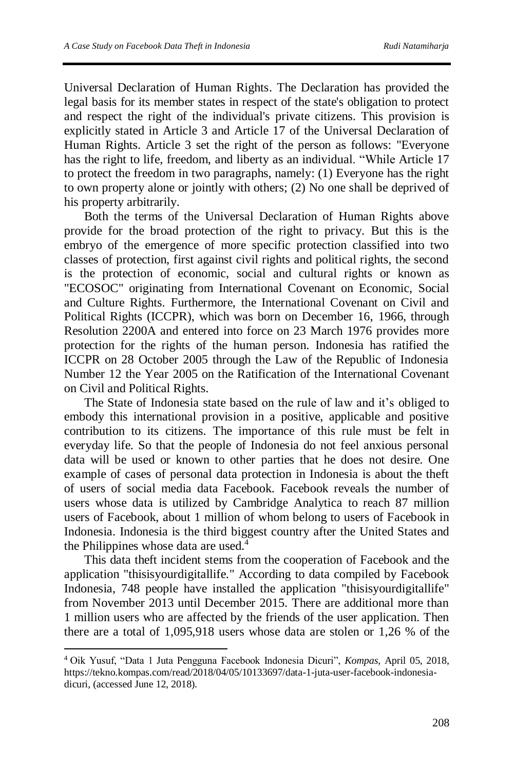Universal Declaration of Human Rights. The Declaration has provided the legal basis for its member states in respect of the state's obligation to protect and respect the right of the individual's private citizens. This provision is explicitly stated in Article 3 and Article 17 of the Universal Declaration of Human Rights. Article 3 set the right of the person as follows: "Everyone has the right to life, freedom, and liberty as an individual. "While Article 17 to protect the freedom in two paragraphs, namely: (1) Everyone has the right to own property alone or jointly with others; (2) No one shall be deprived of his property arbitrarily.

Both the terms of the Universal Declaration of Human Rights above provide for the broad protection of the right to privacy. But this is the embryo of the emergence of more specific protection classified into two classes of protection, first against civil rights and political rights, the second is the protection of economic, social and cultural rights or known as "ECOSOC" originating from International Covenant on Economic, Social and Culture Rights. Furthermore, the International Covenant on Civil and Political Rights (ICCPR), which was born on December 16, 1966, through Resolution 2200A and entered into force on 23 March 1976 provides more protection for the rights of the human person. Indonesia has ratified the ICCPR on 28 October 2005 through the Law of the Republic of Indonesia Number 12 the Year 2005 on the Ratification of the International Covenant on Civil and Political Rights.

The State of Indonesia state based on the rule of law and it's obliged to embody this international provision in a positive, applicable and positive contribution to its citizens. The importance of this rule must be felt in everyday life. So that the people of Indonesia do not feel anxious personal data will be used or known to other parties that he does not desire. One example of cases of personal data protection in Indonesia is about the theft of users of social media data Facebook. Facebook reveals the number of users whose data is utilized by Cambridge Analytica to reach 87 million users of Facebook, about 1 million of whom belong to users of Facebook in Indonesia. Indonesia is the third biggest country after the United States and the Philippines whose data are used. 4

This data theft incident stems from the cooperation of Facebook and the application "thisisyourdigitallife." According to data compiled by Facebook Indonesia, 748 people have installed the application "thisisyourdigitallife" from November 2013 until December 2015. There are additional more than 1 million users who are affected by the friends of the user application. Then there are a total of 1,095,918 users whose data are stolen or 1,26 % of the

<sup>4</sup> Oik Yusuf, "Data 1 Juta Pengguna Facebook Indonesia Dicuri", *Kompas*, April 05, 2018, https://tekno.kompas.com/read/2018/04/05/10133697/data-1-juta-user-facebook-indonesiadicuri, (accessed June 12, 2018).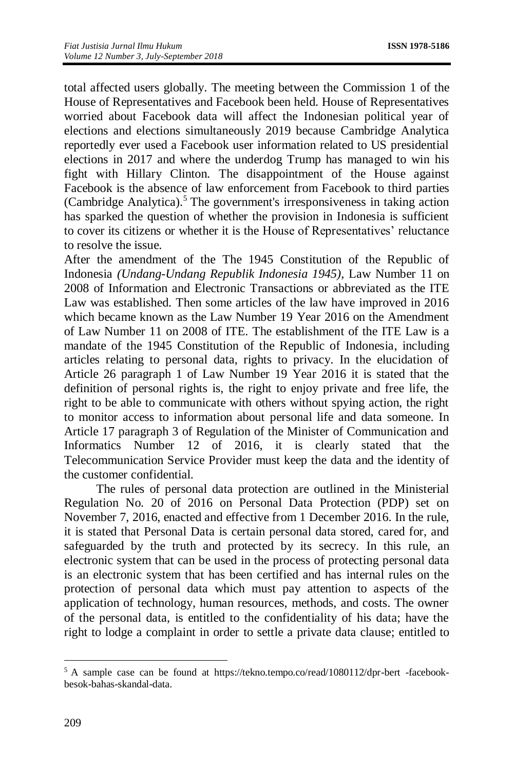total affected users globally. The meeting between the Commission 1 of the House of Representatives and Facebook been held. House of Representatives worried about Facebook data will affect the Indonesian political year of elections and elections simultaneously 2019 because Cambridge Analytica reportedly ever used a Facebook user information related to US presidential elections in 2017 and where the underdog Trump has managed to win his fight with Hillary Clinton. The disappointment of the House against Facebook is the absence of law enforcement from Facebook to third parties (Cambridge Analytica).<sup>5</sup> The government's irresponsiveness in taking action has sparked the question of whether the provision in Indonesia is sufficient to cover its citizens or whether it is the House of Representatives' reluctance to resolve the issue.

After the amendment of the The 1945 Constitution of the Republic of Indonesia *(Undang-Undang Republik Indonesia 1945)*, Law Number 11 on 2008 of Information and Electronic Transactions or abbreviated as the ITE Law was established. Then some articles of the law have improved in 2016 which became known as the Law Number 19 Year 2016 on the Amendment of Law Number 11 on 2008 of ITE. The establishment of the ITE Law is a mandate of the 1945 Constitution of the Republic of Indonesia, including articles relating to personal data, rights to privacy. In the elucidation of Article 26 paragraph 1 of Law Number 19 Year 2016 it is stated that the definition of personal rights is, the right to enjoy private and free life, the right to be able to communicate with others without spying action, the right to monitor access to information about personal life and data someone. In Article 17 paragraph 3 of Regulation of the Minister of Communication and Informatics Number 12 of 2016, it is clearly stated that the Telecommunication Service Provider must keep the data and the identity of the customer confidential.

The rules of personal data protection are outlined in the Ministerial Regulation No. 20 of 2016 on Personal Data Protection (PDP) set on November 7, 2016, enacted and effective from 1 December 2016. In the rule, it is stated that Personal Data is certain personal data stored, cared for, and safeguarded by the truth and protected by its secrecy. In this rule, an electronic system that can be used in the process of protecting personal data is an electronic system that has been certified and has internal rules on the protection of personal data which must pay attention to aspects of the application of technology, human resources, methods, and costs. The owner of the personal data, is entitled to the confidentiality of his data; have the right to lodge a complaint in order to settle a private data clause; entitled to

 $\overline{\phantom{a}}$ 

<sup>5</sup> A sample case can be found at https://tekno.tempo.co/read/1080112/dpr-bert -facebookbesok-bahas-skandal-data.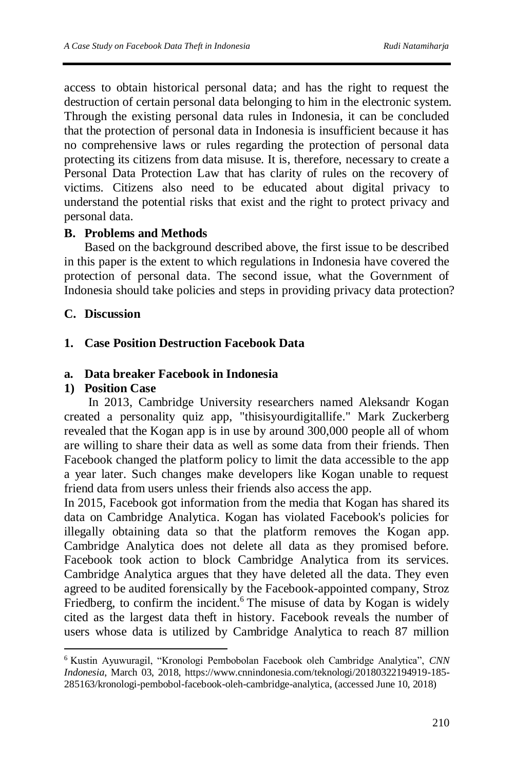access to obtain historical personal data; and has the right to request the destruction of certain personal data belonging to him in the electronic system. Through the existing personal data rules in Indonesia, it can be concluded that the protection of personal data in Indonesia is insufficient because it has no comprehensive laws or rules regarding the protection of personal data protecting its citizens from data misuse. It is, therefore, necessary to create a Personal Data Protection Law that has clarity of rules on the recovery of victims. Citizens also need to be educated about digital privacy to understand the potential risks that exist and the right to protect privacy and personal data.

## **B. Problems and Methods**

Based on the background described above, the first issue to be described in this paper is the extent to which regulations in Indonesia have covered the protection of personal data. The second issue, what the Government of Indonesia should take policies and steps in providing privacy data protection?

## **C. Discussion**

## **1. Case Position Destruction Facebook Data**

## **a. Data breaker Facebook in Indonesia**

## **1) Position Case**

 $\overline{a}$ 

In 2013, Cambridge University researchers named Aleksandr Kogan created a personality quiz app, "thisisyourdigitallife." Mark Zuckerberg revealed that the Kogan app is in use by around 300,000 people all of whom are willing to share their data as well as some data from their friends. Then Facebook changed the platform policy to limit the data accessible to the app a year later. Such changes make developers like Kogan unable to request friend data from users unless their friends also access the app.

In 2015, Facebook got information from the media that Kogan has shared its data on Cambridge Analytica. Kogan has violated Facebook's policies for illegally obtaining data so that the platform removes the Kogan app. Cambridge Analytica does not delete all data as they promised before. Facebook took action to block Cambridge Analytica from its services. Cambridge Analytica argues that they have deleted all the data. They even agreed to be audited forensically by the Facebook-appointed company, Stroz Friedberg, to confirm the incident.<sup>6</sup> The misuse of data by Kogan is widely cited as the largest data theft in history. Facebook reveals the number of users whose data is utilized by Cambridge Analytica to reach 87 million

<sup>6</sup> Kustin Ayuwuragil, "Kronologi Pembobolan Facebook oleh Cambridge Analytica", *CNN Indonesia*, March 03, 2018, https://www.cnnindonesia.com/teknologi/20180322194919-185- 285163/kronologi-pembobol-facebook-oleh-cambridge-analytica, (accessed June 10, 2018)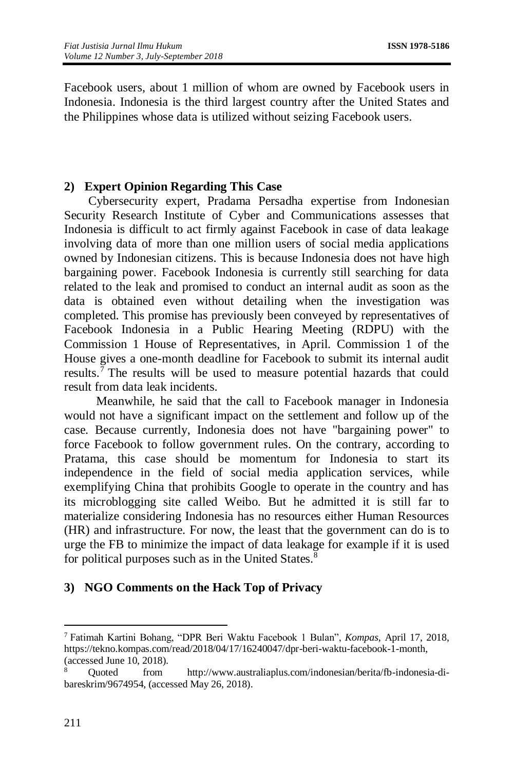Facebook users, about 1 million of whom are owned by Facebook users in Indonesia. Indonesia is the third largest country after the United States and the Philippines whose data is utilized without seizing Facebook users.

## **2) Expert Opinion Regarding This Case**

Cybersecurity expert, Pradama Persadha expertise from Indonesian Security Research Institute of Cyber and Communications assesses that Indonesia is difficult to act firmly against Facebook in case of data leakage involving data of more than one million users of social media applications owned by Indonesian citizens. This is because Indonesia does not have high bargaining power. Facebook Indonesia is currently still searching for data related to the leak and promised to conduct an internal audit as soon as the data is obtained even without detailing when the investigation was completed. This promise has previously been conveyed by representatives of Facebook Indonesia in a Public Hearing Meeting (RDPU) with the Commission 1 House of Representatives, in April. Commission 1 of the House gives a one-month deadline for Facebook to submit its internal audit results.<sup>7</sup> The results will be used to measure potential hazards that could result from data leak incidents.

Meanwhile, he said that the call to Facebook manager in Indonesia would not have a significant impact on the settlement and follow up of the case. Because currently, Indonesia does not have "bargaining power" to force Facebook to follow government rules. On the contrary, according to Pratama, this case should be momentum for Indonesia to start its independence in the field of social media application services, while exemplifying China that prohibits Google to operate in the country and has its microblogging site called Weibo. But he admitted it is still far to materialize considering Indonesia has no resources either Human Resources (HR) and infrastructure. For now, the least that the government can do is to urge the FB to minimize the impact of data leakage for example if it is used for political purposes such as in the United States.<sup>8</sup>

## **3) NGO Comments on the Hack Top of Privacy**

<sup>7</sup> Fatimah Kartini Bohang, "DPR Beri Waktu Facebook 1 Bulan", *Kompas*, April 17, 2018, https://tekno.kompas.com/read/2018/04/17/16240047/dpr-beri-waktu-facebook-1-month, (accessed June 10, 2018).

<sup>8</sup> Quoted from http://www.australiaplus.com/indonesian/berita/fb-indonesia-dibareskrim/9674954, (accessed May 26, 2018).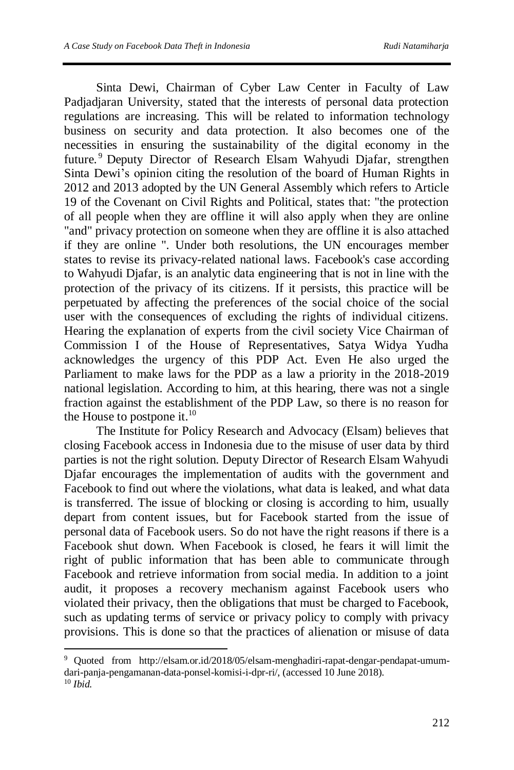Sinta Dewi, Chairman of Cyber Law Center in Faculty of Law Padjadjaran University, stated that the interests of personal data protection regulations are increasing. This will be related to information technology business on security and data protection. It also becomes one of the necessities in ensuring the sustainability of the digital economy in the future. <sup>9</sup> Deputy Director of Research Elsam Wahyudi Djafar, strengthen Sinta Dewi's opinion citing the resolution of the board of Human Rights in 2012 and 2013 adopted by the UN General Assembly which refers to Article 19 of the Covenant on Civil Rights and Political, states that: "the protection of all people when they are offline it will also apply when they are online "and" privacy protection on someone when they are offline it is also attached if they are online ". Under both resolutions, the UN encourages member states to revise its privacy-related national laws. Facebook's case according to Wahyudi Djafar, is an analytic data engineering that is not in line with the protection of the privacy of its citizens. If it persists, this practice will be perpetuated by affecting the preferences of the social choice of the social user with the consequences of excluding the rights of individual citizens. Hearing the explanation of experts from the civil society Vice Chairman of Commission I of the House of Representatives, Satya Widya Yudha acknowledges the urgency of this PDP Act. Even He also urged the Parliament to make laws for the PDP as a law a priority in the 2018-2019 national legislation. According to him, at this hearing, there was not a single fraction against the establishment of the PDP Law, so there is no reason for the House to postpone it. $^{10}$ 

The Institute for Policy Research and Advocacy (Elsam) believes that closing Facebook access in Indonesia due to the misuse of user data by third parties is not the right solution. Deputy Director of Research Elsam Wahyudi Djafar encourages the implementation of audits with the government and Facebook to find out where the violations, what data is leaked, and what data is transferred. The issue of blocking or closing is according to him, usually depart from content issues, but for Facebook started from the issue of personal data of Facebook users. So do not have the right reasons if there is a Facebook shut down. When Facebook is closed, he fears it will limit the right of public information that has been able to communicate through Facebook and retrieve information from social media. In addition to a joint audit, it proposes a recovery mechanism against Facebook users who violated their privacy, then the obligations that must be charged to Facebook, such as updating terms of service or privacy policy to comply with privacy provisions. This is done so that the practices of alienation or misuse of data

<sup>9</sup> Quoted from http://elsam.or.id/2018/05/elsam-menghadiri-rapat-dengar-pendapat-umumdari-panja-pengamanan-data-ponsel-komisi-i-dpr-ri/, (accessed 10 June 2018).

<sup>10</sup> *Ibid.*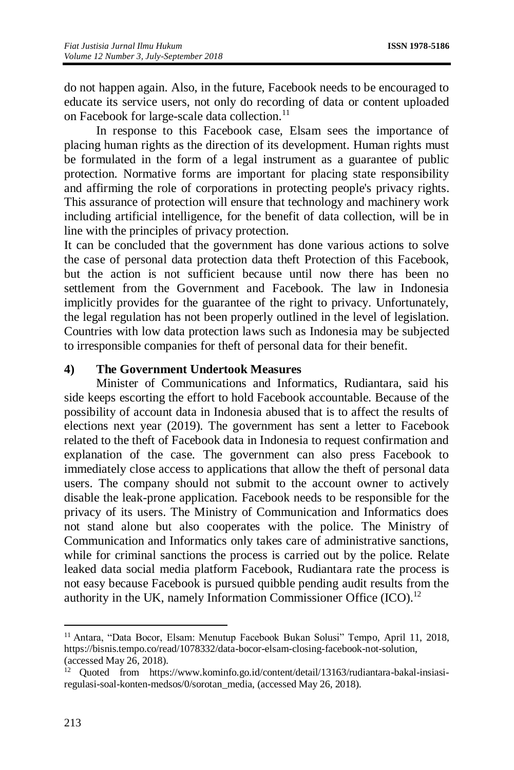do not happen again. Also, in the future, Facebook needs to be encouraged to educate its service users, not only do recording of data or content uploaded on Facebook for large-scale data collection.<sup>11</sup>

In response to this Facebook case, Elsam sees the importance of placing human rights as the direction of its development. Human rights must be formulated in the form of a legal instrument as a guarantee of public protection. Normative forms are important for placing state responsibility and affirming the role of corporations in protecting people's privacy rights. This assurance of protection will ensure that technology and machinery work including artificial intelligence, for the benefit of data collection, will be in line with the principles of privacy protection.

It can be concluded that the government has done various actions to solve the case of personal data protection data theft Protection of this Facebook, but the action is not sufficient because until now there has been no settlement from the Government and Facebook. The law in Indonesia implicitly provides for the guarantee of the right to privacy. Unfortunately, the legal regulation has not been properly outlined in the level of legislation. Countries with low data protection laws such as Indonesia may be subjected to irresponsible companies for theft of personal data for their benefit.

#### **4) The Government Undertook Measures**

Minister of Communications and Informatics, Rudiantara, said his side keeps escorting the effort to hold Facebook accountable. Because of the possibility of account data in Indonesia abused that is to affect the results of elections next year (2019). The government has sent a letter to Facebook related to the theft of Facebook data in Indonesia to request confirmation and explanation of the case. The government can also press Facebook to immediately close access to applications that allow the theft of personal data users. The company should not submit to the account owner to actively disable the leak-prone application. Facebook needs to be responsible for the privacy of its users. The Ministry of Communication and Informatics does not stand alone but also cooperates with the police. The Ministry of Communication and Informatics only takes care of administrative sanctions, while for criminal sanctions the process is carried out by the police. Relate leaked data social media platform Facebook, Rudiantara rate the process is not easy because Facebook is pursued quibble pending audit results from the authority in the UK, namely Information Commissioner Office (ICO).<sup>12</sup>

<sup>&</sup>lt;sup>11</sup> Antara, "Data Bocor, Elsam: Menutup Facebook Bukan Solusi" Tempo, April 11, 2018, https://bisnis.tempo.co/read/1078332/data-bocor-elsam-closing-facebook-not-solution, (accessed May 26, 2018).

<sup>&</sup>lt;sup>12</sup> Quoted from https://www.kominfo.go.id/content/detail/13163/rudiantara-bakal-insiasiregulasi-soal-konten-medsos/0/sorotan\_media, (accessed May 26, 2018).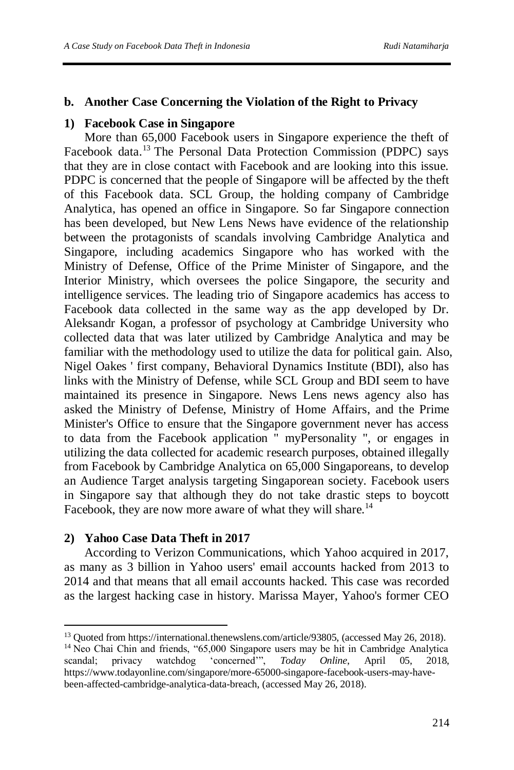#### **b. Another Case Concerning the Violation of the Right to Privacy**

#### **1) Facebook Case in Singapore**

More than 65,000 Facebook users in Singapore experience the theft of Facebook data.<sup>13</sup> The Personal Data Protection Commission (PDPC) says that they are in close contact with Facebook and are looking into this issue. PDPC is concerned that the people of Singapore will be affected by the theft of this Facebook data. SCL Group, the holding company of Cambridge Analytica, has opened an office in Singapore. So far Singapore connection has been developed, but New Lens News have evidence of the relationship between the protagonists of scandals involving Cambridge Analytica and Singapore, including academics Singapore who has worked with the Ministry of Defense, Office of the Prime Minister of Singapore, and the Interior Ministry, which oversees the police Singapore, the security and intelligence services. The leading trio of Singapore academics has access to Facebook data collected in the same way as the app developed by Dr. Aleksandr Kogan, a professor of psychology at Cambridge University who collected data that was later utilized by Cambridge Analytica and may be familiar with the methodology used to utilize the data for political gain. Also, Nigel Oakes ' first company, Behavioral Dynamics Institute (BDI), also has links with the Ministry of Defense, while SCL Group and BDI seem to have maintained its presence in Singapore. News Lens news agency also has asked the Ministry of Defense, Ministry of Home Affairs, and the Prime Minister's Office to ensure that the Singapore government never has access to data from the Facebook application " myPersonality ", or engages in utilizing the data collected for academic research purposes, obtained illegally from Facebook by Cambridge Analytica on 65,000 Singaporeans, to develop an Audience Target analysis targeting Singaporean society. Facebook users in Singapore say that although they do not take drastic steps to boycott Facebook, they are now more aware of what they will share.<sup>14</sup>

#### **2) Yahoo Case Data Theft in 2017**

 $\overline{a}$ 

According to Verizon Communications, which Yahoo acquired in 2017, as many as 3 billion in Yahoo users' email accounts hacked from 2013 to 2014 and that means that all email accounts hacked. This case was recorded as the largest hacking case in history. Marissa Mayer, Yahoo's former CEO

<sup>&</sup>lt;sup>13</sup> Quoted from https://international.thenewslens.com/article/93805, (accessed May 26, 2018). <sup>14</sup> Neo Chai Chin and friends, "65,000 Singapore users may be hit in Cambridge Analytica scandal; privacy watchdog 'concerned'", *Today Online*, April 05, 2018, https://www.todayonline.com/singapore/more-65000-singapore-facebook-users-may-havebeen-affected-cambridge-analytica-data-breach, (accessed May 26, 2018).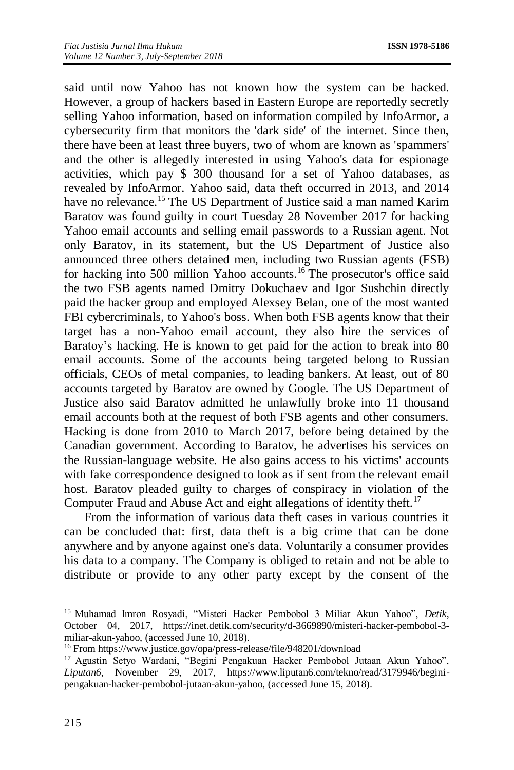said until now Yahoo has not known how the system can be hacked. However, a group of hackers based in Eastern Europe are reportedly secretly selling Yahoo information, based on information compiled by InfoArmor, a cybersecurity firm that monitors the 'dark side' of the internet. Since then, there have been at least three buyers, two of whom are known as 'spammers' and the other is allegedly interested in using Yahoo's data for espionage activities, which pay \$ 300 thousand for a set of Yahoo databases, as revealed by InfoArmor. Yahoo said, data theft occurred in 2013, and 2014 have no relevance.<sup>15</sup> The US Department of Justice said a man named Karim Baratov was found guilty in court Tuesday 28 November 2017 for hacking Yahoo email accounts and selling email passwords to a Russian agent. Not only Baratov, in its statement, but the US Department of Justice also announced three others detained men, including two Russian agents (FSB) for hacking into 500 million Yahoo accounts.<sup>16</sup> The prosecutor's office said the two FSB agents named Dmitry Dokuchaev and Igor Sushchin directly paid the hacker group and employed Alexsey Belan, one of the most wanted FBI cybercriminals, to Yahoo's boss. When both FSB agents know that their target has a non-Yahoo email account, they also hire the services of Baratoy's hacking. He is known to get paid for the action to break into 80 email accounts. Some of the accounts being targeted belong to Russian officials, CEOs of metal companies, to leading bankers. At least, out of 80 accounts targeted by Baratov are owned by Google. The US Department of Justice also said Baratov admitted he unlawfully broke into 11 thousand email accounts both at the request of both FSB agents and other consumers. Hacking is done from 2010 to March 2017, before being detained by the Canadian government. According to Baratov, he advertises his services on the Russian-language website. He also gains access to his victims' accounts with fake correspondence designed to look as if sent from the relevant email host. Baratov pleaded guilty to charges of conspiracy in violation of the Computer Fraud and Abuse Act and eight allegations of identity theft.<sup>17</sup>

From the information of various data theft cases in various countries it can be concluded that: first, data theft is a big crime that can be done anywhere and by anyone against one's data. Voluntarily a consumer provides his data to a company. The Company is obliged to retain and not be able to distribute or provide to any other party except by the consent of the

<sup>15</sup> Muhamad Imron Rosyadi, "Misteri Hacker Pembobol 3 Miliar Akun Yahoo", *Detik*, October 04, 2017, https://inet.detik.com/security/d-3669890/misteri-hacker-pembobol-3 miliar-akun-yahoo, (accessed June 10, 2018).

<sup>16</sup> From https://www.justice.gov/opa/press-release/file/948201/download

<sup>&</sup>lt;sup>17</sup> Agustin Setyo Wardani, "Begini Pengakuan Hacker Pembobol Jutaan Akun Yahoo", *Liputan6*, November 29, 2017, https://www.liputan6.com/tekno/read/3179946/beginipengakuan-hacker-pembobol-jutaan-akun-yahoo, (accessed June 15, 2018).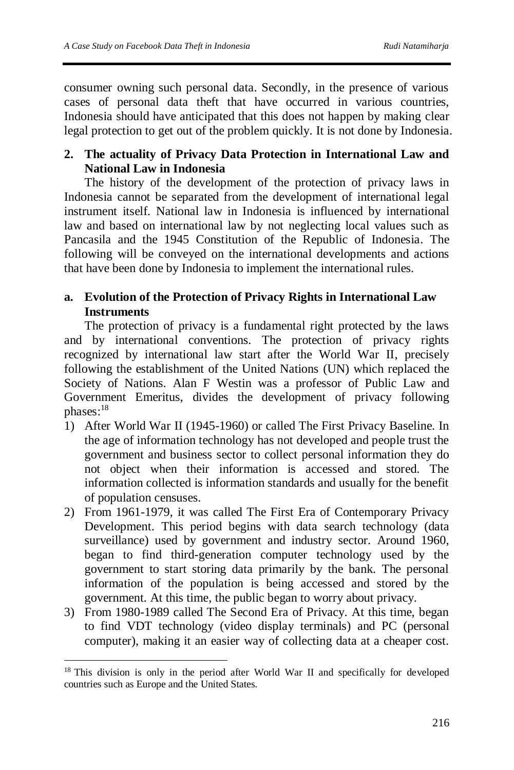consumer owning such personal data. Secondly, in the presence of various cases of personal data theft that have occurred in various countries, Indonesia should have anticipated that this does not happen by making clear legal protection to get out of the problem quickly. It is not done by Indonesia.

## **2. The actuality of Privacy Data Protection in International Law and National Law in Indonesia**

The history of the development of the protection of privacy laws in Indonesia cannot be separated from the development of international legal instrument itself. National law in Indonesia is influenced by international law and based on international law by not neglecting local values such as Pancasila and the 1945 Constitution of the Republic of Indonesia. The following will be conveyed on the international developments and actions that have been done by Indonesia to implement the international rules.

## **a. Evolution of the Protection of Privacy Rights in International Law Instruments**

The protection of privacy is a fundamental right protected by the laws and by international conventions. The protection of privacy rights recognized by international law start after the World War II, precisely following the establishment of the United Nations (UN) which replaced the Society of Nations. Alan F Westin was a professor of Public Law and Government Emeritus, divides the development of privacy following phases:<sup>18</sup>

- 1) After World War II (1945-1960) or called The First Privacy Baseline. In the age of information technology has not developed and people trust the government and business sector to collect personal information they do not object when their information is accessed and stored. The information collected is information standards and usually for the benefit of population censuses.
- 2) From 1961-1979, it was called The First Era of Contemporary Privacy Development. This period begins with data search technology (data surveillance) used by government and industry sector. Around 1960, began to find third-generation computer technology used by the government to start storing data primarily by the bank. The personal information of the population is being accessed and stored by the government. At this time, the public began to worry about privacy.
- 3) From 1980-1989 called The Second Era of Privacy. At this time, began to find VDT technology (video display terminals) and PC (personal computer), making it an easier way of collecting data at a cheaper cost.

 $\overline{\phantom{a}}$ <sup>18</sup> This division is only in the period after World War II and specifically for developed countries such as Europe and the United States.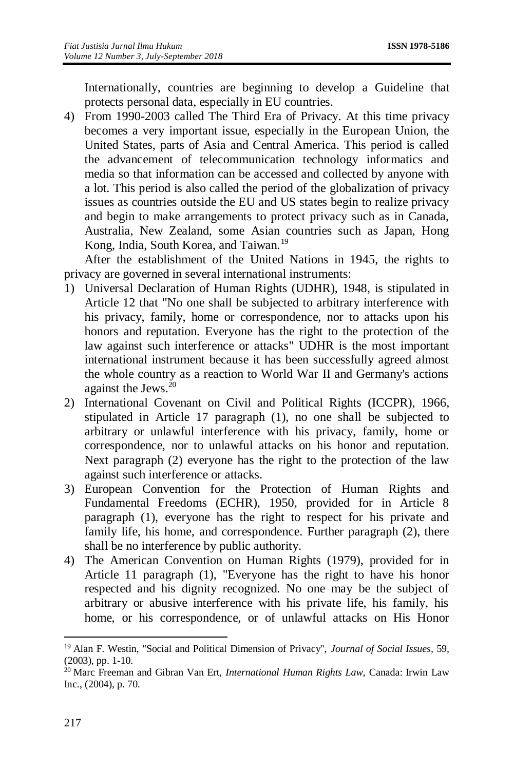Internationally, countries are beginning to develop a Guideline that protects personal data, especially in EU countries.

4) From 1990-2003 called The Third Era of Privacy. At this time privacy becomes a very important issue, especially in the European Union, the United States, parts of Asia and Central America. This period is called the advancement of telecommunication technology informatics and media so that information can be accessed and collected by anyone with a lot. This period is also called the period of the globalization of privacy issues as countries outside the EU and US states begin to realize privacy and begin to make arrangements to protect privacy such as in Canada, Australia, New Zealand, some Asian countries such as Japan, Hong Kong, India, South Korea, and Taiwan.<sup>19</sup>

After the establishment of the United Nations in 1945, the rights to privacy are governed in several international instruments:

- 1) Universal Declaration of Human Rights (UDHR), 1948, is stipulated in Article 12 that "No one shall be subjected to arbitrary interference with his privacy, family, home or correspondence, nor to attacks upon his honors and reputation. Everyone has the right to the protection of the law against such interference or attacks" UDHR is the most important international instrument because it has been successfully agreed almost the whole country as a reaction to World War II and Germany's actions against the Jews. 20
- 2) International Covenant on Civil and Political Rights (ICCPR), 1966, stipulated in Article 17 paragraph (1), no one shall be subjected to arbitrary or unlawful interference with his privacy, family, home or correspondence, nor to unlawful attacks on his honor and reputation. Next paragraph (2) everyone has the right to the protection of the law against such interference or attacks.
- 3) European Convention for the Protection of Human Rights and Fundamental Freedoms (ECHR), 1950, provided for in Article 8 paragraph (1), everyone has the right to respect for his private and family life, his home, and correspondence. Further paragraph (2), there shall be no interference by public authority.
- 4) The American Convention on Human Rights (1979), provided for in Article 11 paragraph (1), "Everyone has the right to have his honor respected and his dignity recognized. No one may be the subject of arbitrary or abusive interference with his private life, his family, his home, or his correspondence, or of unlawful attacks on His Honor

 $\overline{a}$ <sup>19</sup> Alan F. Westin, "Social and Political Dimension of Privacy", *Journal of Social Issues*, 59, (2003), pp. 1-10.

<sup>20</sup> Marc Freeman and Gibran Van Ert, *International Human Rights Law*, Canada: Irwin Law Inc., (2004), p. 70.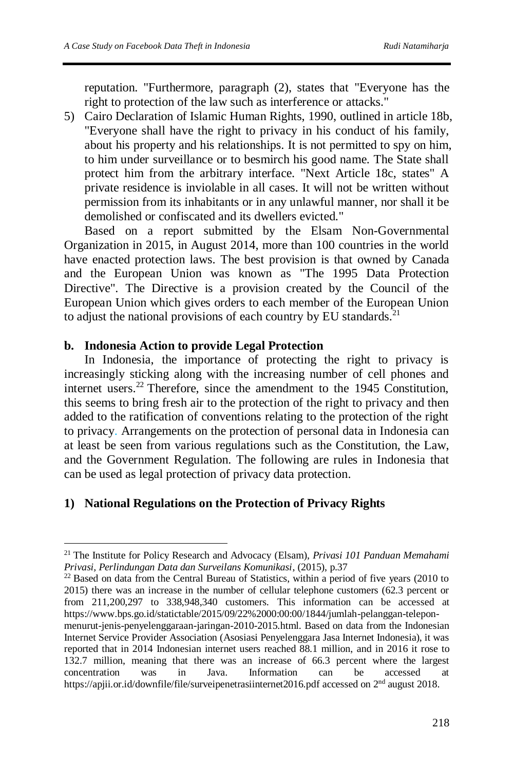reputation. "Furthermore, paragraph (2), states that "Everyone has the right to protection of the law such as interference or attacks."

5) Cairo Declaration of Islamic Human Rights, 1990, outlined in article 18b, "Everyone shall have the right to privacy in his conduct of his family, about his property and his relationships. It is not permitted to spy on him, to him under surveillance or to besmirch his good name. The State shall protect him from the arbitrary interface. "Next Article 18c, states" A private residence is inviolable in all cases. It will not be written without permission from its inhabitants or in any unlawful manner, nor shall it be demolished or confiscated and its dwellers evicted."

Based on a report submitted by the Elsam Non-Governmental Organization in 2015, in August 2014, more than 100 countries in the world have enacted protection laws. The best provision is that owned by Canada and the European Union was known as "The 1995 Data Protection Directive". The Directive is a provision created by the Council of the European Union which gives orders to each member of the European Union to adjust the national provisions of each country by EU standards. $21$ 

#### **b. Indonesia Action to provide Legal Protection**

In Indonesia, the importance of protecting the right to privacy is increasingly sticking along with the increasing number of cell phones and internet users.<sup>22</sup> Therefore, since the amendment to the 1945 Constitution, this seems to bring fresh air to the protection of the right to privacy and then added to the ratification of conventions relating to the protection of the right to privacy. Arrangements on the protection of personal data in Indonesia can at least be seen from various regulations such as the Constitution, the Law, and the Government Regulation. The following are rules in Indonesia that can be used as legal protection of privacy data protection.

## **1) National Regulations on the Protection of Privacy Rights**

<sup>21</sup> The Institute for Policy Research and Advocacy (Elsam), *Privasi 101 Panduan Memahami Privasi, Perlindungan Data dan Surveilans Komunikasi*, (2015), p.37

 $^{22}$  Based on data from the Central Bureau of Statistics, within a period of five years (2010 to 2015) there was an increase in the number of cellular telephone customers (62.3 percent or from 211,200,297 to 338,948,340 customers. This information can be accessed at [https://www.bps.go.id/statictable/2015/09/22%2000:00:00/1844/jumlah-pelanggan-telepon-](https://www.bps.go.id/statictable/2015/09/22%2000:00:00/1844/jumlah-pelanggan-telepon-menurut-jenis-penyelenggaraan-jaringan-2010-2015.html)

[menurut-jenis-penyelenggaraan-jaringan-2010-2015.html.](https://www.bps.go.id/statictable/2015/09/22%2000:00:00/1844/jumlah-pelanggan-telepon-menurut-jenis-penyelenggaraan-jaringan-2010-2015.html) Based on data from the Indonesian Internet Service Provider Association (Asosiasi Penyelenggara Jasa Internet Indonesia), it was reported that in 2014 Indonesian internet users reached 88.1 million, and in 2016 it rose to 132.7 million, meaning that there was an increase of 66.3 percent where the largest concentration was in Java. Information can be accessed <https://apjii.or.id/downfile/file/surveipenetrasiinternet2016.pdf> accessed on 2nd august 2018.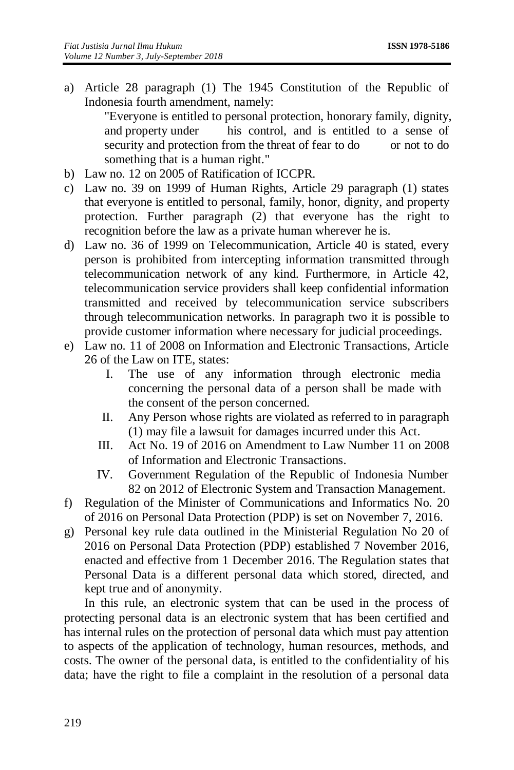a) Article 28 paragraph (1) The 1945 Constitution of the Republic of Indonesia fourth amendment, namely:

"Everyone is entitled to personal protection, honorary family, dignity, and property under his control, and is entitled to a sense of security and protection from the threat of fear to do or not to do something that is a human right."

- b) Law no. 12 on 2005 of Ratification of ICCPR.
- c) Law no. 39 on 1999 of Human Rights, Article 29 paragraph (1) states that everyone is entitled to personal, family, honor, dignity, and property protection. Further paragraph (2) that everyone has the right to recognition before the law as a private human wherever he is.
- d) Law no. 36 of 1999 on Telecommunication, Article 40 is stated, every person is prohibited from intercepting information transmitted through telecommunication network of any kind. Furthermore, in Article 42, telecommunication service providers shall keep confidential information transmitted and received by telecommunication service subscribers through telecommunication networks. In paragraph two it is possible to provide customer information where necessary for judicial proceedings.
- e) Law no. 11 of 2008 on Information and Electronic Transactions, Article 26 of the Law on ITE, states:
	- I. The use of any information through electronic media concerning the personal data of a person shall be made with the consent of the person concerned.
	- II. Any Person whose rights are violated as referred to in paragraph (1) may file a lawsuit for damages incurred under this Act.
	- III. Act No. 19 of 2016 on Amendment to Law Number 11 on 2008 of Information and Electronic Transactions.
	- IV. Government Regulation of the Republic of Indonesia Number 82 on 2012 of Electronic System and Transaction Management.
- f) Regulation of the Minister of Communications and Informatics No. 20 of 2016 on Personal Data Protection (PDP) is set on November 7, 2016.
- g) Personal key rule data outlined in the Ministerial Regulation No 20 of 2016 on Personal Data Protection (PDP) established 7 November 2016, enacted and effective from 1 December 2016. The Regulation states that Personal Data is a different personal data which stored, directed, and kept true and of anonymity.

In this rule, an electronic system that can be used in the process of protecting personal data is an electronic system that has been certified and has internal rules on the protection of personal data which must pay attention to aspects of the application of technology, human resources, methods, and costs. The owner of the personal data, is entitled to the confidentiality of his data; have the right to file a complaint in the resolution of a personal data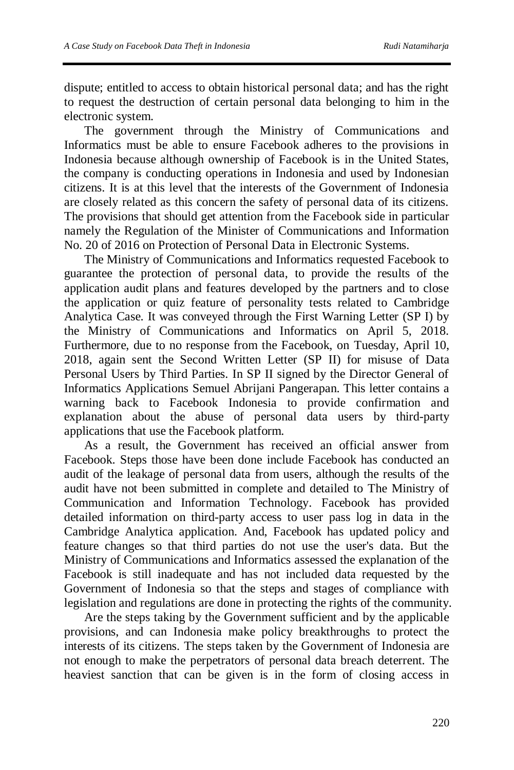dispute; entitled to access to obtain historical personal data; and has the right to request the destruction of certain personal data belonging to him in the electronic system.

The government through the Ministry of Communications and Informatics must be able to ensure Facebook adheres to the provisions in Indonesia because although ownership of Facebook is in the United States, the company is conducting operations in Indonesia and used by Indonesian citizens. It is at this level that the interests of the Government of Indonesia are closely related as this concern the safety of personal data of its citizens. The provisions that should get attention from the Facebook side in particular namely the Regulation of the Minister of Communications and Information No. 20 of 2016 on Protection of Personal Data in Electronic Systems.

The Ministry of Communications and Informatics requested Facebook to guarantee the protection of personal data, to provide the results of the application audit plans and features developed by the partners and to close the application or quiz feature of personality tests related to Cambridge Analytica Case. It was conveyed through the First Warning Letter (SP I) by the Ministry of Communications and Informatics on April 5, 2018. Furthermore, due to no response from the Facebook, on Tuesday, April 10, 2018, again sent the Second Written Letter (SP II) for misuse of Data Personal Users by Third Parties. In SP II signed by the Director General of Informatics Applications Semuel Abrijani Pangerapan. This letter contains a warning back to Facebook Indonesia to provide confirmation and explanation about the abuse of personal data users by third-party applications that use the Facebook platform.

As a result, the Government has received an official answer from Facebook. Steps those have been done include Facebook has conducted an audit of the leakage of personal data from users, although the results of the audit have not been submitted in complete and detailed to The Ministry of Communication and Information Technology. Facebook has provided detailed information on third-party access to user pass log in data in the Cambridge Analytica application. And, Facebook has updated policy and feature changes so that third parties do not use the user's data. But the Ministry of Communications and Informatics assessed the explanation of the Facebook is still inadequate and has not included data requested by the Government of Indonesia so that the steps and stages of compliance with legislation and regulations are done in protecting the rights of the community.

Are the steps taking by the Government sufficient and by the applicable provisions, and can Indonesia make policy breakthroughs to protect the interests of its citizens. The steps taken by the Government of Indonesia are not enough to make the perpetrators of personal data breach deterrent. The heaviest sanction that can be given is in the form of closing access in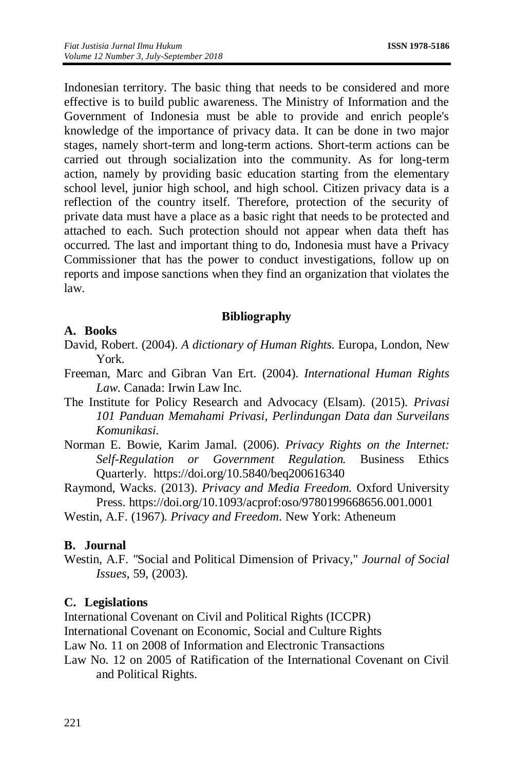Indonesian territory. The basic thing that needs to be considered and more effective is to build public awareness. The Ministry of Information and the Government of Indonesia must be able to provide and enrich people's knowledge of the importance of privacy data. It can be done in two major stages, namely short-term and long-term actions. Short-term actions can be carried out through socialization into the community. As for long-term action, namely by providing basic education starting from the elementary school level, junior high school, and high school. Citizen privacy data is a reflection of the country itself. Therefore, protection of the security of private data must have a place as a basic right that needs to be protected and attached to each. Such protection should not appear when data theft has occurred. The last and important thing to do, Indonesia must have a Privacy Commissioner that has the power to conduct investigations, follow up on reports and impose sanctions when they find an organization that violates the law.

#### **Bibliography**

#### **A. Books**

- David, Robert. (2004). *A dictionary of Human Rights.* Europa, London, New York.
- Freeman, Marc and Gibran Van Ert. (2004). *International Human Rights Law*. Canada: Irwin Law Inc.
- The Institute for Policy Research and Advocacy (Elsam). (2015). *Privasi 101 Panduan Memahami Privasi, Perlindungan Data dan Surveilans Komunikasi*.
- Norman E. Bowie, Karim Jamal. (2006). *Privacy Rights on the Internet: Self-Regulation or Government Regulation.* Business Ethics Quarterly. <https://doi.org/10.5840/beq200616340>
- Raymond, Wacks. (2013). *Privacy and Media Freedom.* Oxford University Press. <https://doi.org/10.1093/acprof:oso/9780199668656.001.0001>

Westin, A.F. (1967). *Privacy and Freedom*. New York: Atheneum

#### **B. Journal**

Westin, A.F. *"*Social and Political Dimension of Privacy," *Journal of Social Issues*, 59, (2003).

#### **C. Legislations**

International Covenant on Civil and Political Rights (ICCPR)

International Covenant on Economic, Social and Culture Rights

Law No. 11 on 2008 of Information and Electronic Transactions

Law No. 12 on 2005 of Ratification of the International Covenant on Civil and Political Rights.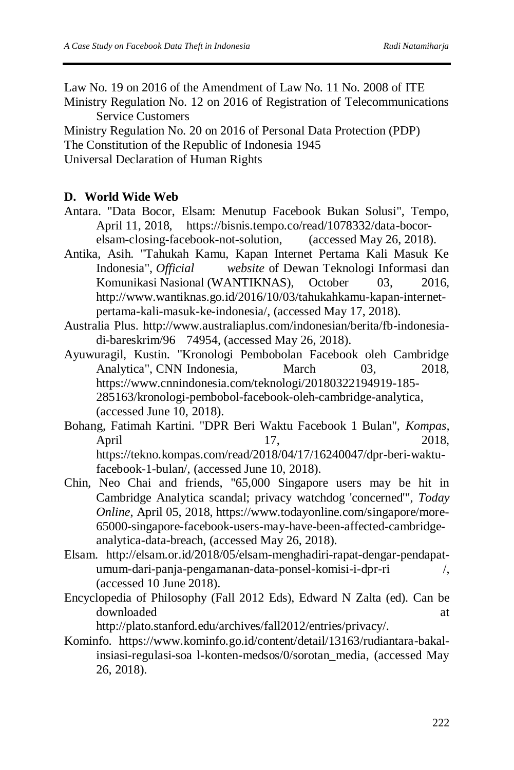Law No. 19 on 2016 of the Amendment of Law No. 11 No. 2008 of ITE Ministry Regulation No. 12 on 2016 of Registration of Telecommunications Service Customers

Ministry Regulation No. 20 on 2016 of Personal Data Protection (PDP) The Constitution of the Republic of Indonesia 1945 Universal Declaration of Human Rights

### **D. World Wide Web**

- Antara. "Data Bocor, Elsam: Menutup Facebook Bukan Solusi", Tempo, April 11, 2018, https://bisnis.tempo.co/read/1078332/data-bocorelsam-closing-facebook-not-solution, (accessed May 26, 2018).
- Antika, Asih. "Tahukah Kamu, Kapan Internet Pertama Kali Masuk Ke Indonesia", *Official website* of Dewan Teknologi Informasi dan Komunikasi Nasional (WANTIKNAS), October 03, 2016, http://www.wantiknas.go.id/2016/10/03/tahukahkamu-kapan-internetpertama-kali-masuk-ke-indonesia/, (accessed May 17, 2018).
- Australia Plus. http://www.australiaplus.com/indonesian/berita/fb-indonesiadi-bareskrim/96 74954, (accessed May 26, 2018).
- Ayuwuragil, Kustin. "Kronologi Pembobolan Facebook oleh Cambridge Analytica", CNN Indonesia, March 03, 2018, https://www.cnnindonesia.com/teknologi/20180322194919-185- 285163/kronologi-pembobol-facebook-oleh-cambridge-analytica, (accessed June 10, 2018).
- Bohang, Fatimah Kartini. "DPR Beri Waktu Facebook 1 Bulan", *Kompas,* April 17, 2018, https://tekno.kompas.com/read/2018/04/17/16240047/dpr-beri-waktufacebook-1-bulan/, (accessed June 10, 2018).
- Chin, Neo Chai and friends, "65,000 Singapore users may be hit in Cambridge Analytica scandal; privacy watchdog 'concerned'", *Today Online*, April 05, 2018, https://www.todayonline.com/singapore/more-65000-singapore-facebook-users-may-have-been-affected-cambridgeanalytica-data-breach, (accessed May 26, 2018).
- Elsam. http://elsam.or.id/2018/05/elsam-menghadiri-rapat-dengar-pendapatumum-dari-panja-pengamanan-data-ponsel-komisi-i-dpr-ri /, (accessed 10 June 2018).
- Encyclopedia of Philosophy (Fall 2012 Eds), Edward N Zalta (ed). Can be downloaded at a state of  $\alpha$  at a state of  $\alpha$  at a state of  $\alpha$  at a state of  $\alpha$  at a state of  $\alpha$  at a state of  $\alpha$  at a state of  $\alpha$  at a state of  $\alpha$  at a state of  $\alpha$  at a state of  $\alpha$  at a state of  $\alpha$  at

http://plato.stanford.edu/archives/fall2012/entries/privacy/.

Kominfo. https://www.kominfo.go.id/content/detail/13163/rudiantara-bakalinsiasi-regulasi-soa l-konten-medsos/0/sorotan\_media, (accessed May 26, 2018).